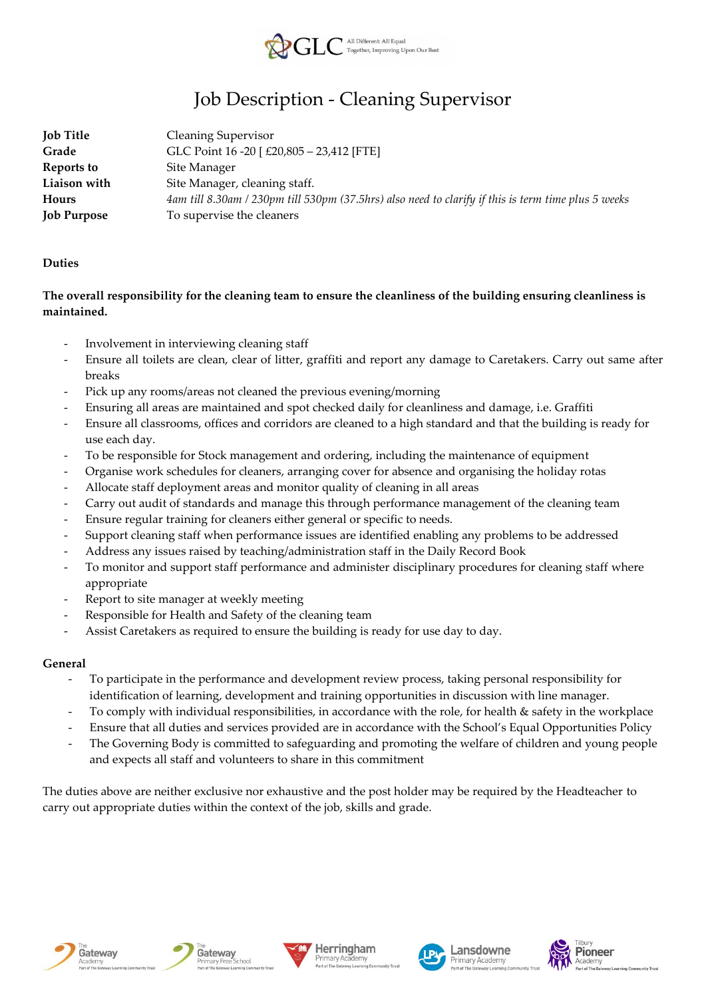

# Job Description - Cleaning Supervisor

| <b>Job Title</b>   | <b>Cleaning Supervisor</b>                                                                          |
|--------------------|-----------------------------------------------------------------------------------------------------|
| Grade              | GLC Point 16 -20 [ £20,805 - 23,412 [FTE]                                                           |
| Reports to         | Site Manager                                                                                        |
| Liaison with       | Site Manager, cleaning staff.                                                                       |
| Hours              | 4am till 8.30am / 230pm till 530pm (37.5hrs) also need to clarify if this is term time plus 5 weeks |
| <b>Job Purpose</b> | To supervise the cleaners                                                                           |

### **Duties**

## **The overall responsibility for the cleaning team to ensure the cleanliness of the building ensuring cleanliness is maintained.**

- Involvement in interviewing cleaning staff
- Ensure all toilets are clean, clear of litter, graffiti and report any damage to Caretakers. Carry out same after breaks
- Pick up any rooms/areas not cleaned the previous evening/morning
- Ensuring all areas are maintained and spot checked daily for cleanliness and damage, i.e. Graffiti
- Ensure all classrooms, offices and corridors are cleaned to a high standard and that the building is ready for use each day.
- To be responsible for Stock management and ordering, including the maintenance of equipment
- Organise work schedules for cleaners, arranging cover for absence and organising the holiday rotas
- Allocate staff deployment areas and monitor quality of cleaning in all areas
- Carry out audit of standards and manage this through performance management of the cleaning team
- Ensure regular training for cleaners either general or specific to needs.
- Support cleaning staff when performance issues are identified enabling any problems to be addressed
- Address any issues raised by teaching/administration staff in the Daily Record Book
- To monitor and support staff performance and administer disciplinary procedures for cleaning staff where appropriate
- Report to site manager at weekly meeting
- Responsible for Health and Safety of the cleaning team
- Assist Caretakers as required to ensure the building is ready for use day to day.

### **General**

- To participate in the performance and development review process, taking personal responsibility for identification of learning, development and training opportunities in discussion with line manager.
- To comply with individual responsibilities, in accordance with the role, for health & safety in the workplace
- Ensure that all duties and services provided are in accordance with the School's Equal Opportunities Policy
- The Governing Body is committed to safeguarding and promoting the welfare of children and young people and expects all staff and volunteers to share in this commitment

The duties above are neither exclusive nor exhaustive and the post holder may be required by the Headteacher to carry out appropriate duties within the context of the job, skills and grade.





chool